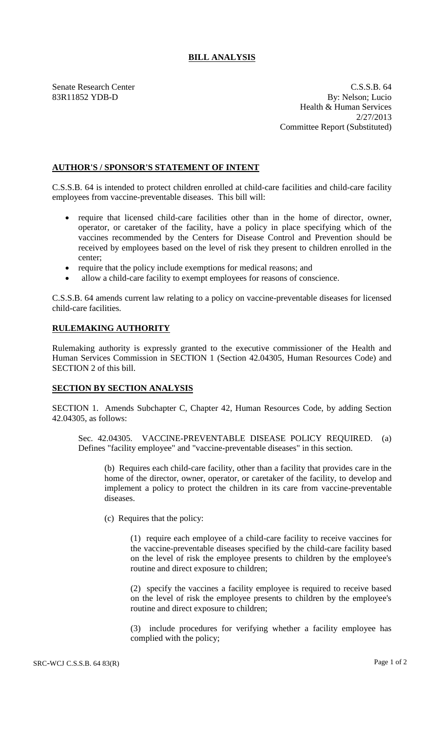## **BILL ANALYSIS**

Senate Research Center Casses and C.S.S.B. 64 83R11852 YDB-D By: Nelson; Lucio Health & Human Services 2/27/2013 Committee Report (Substituted)

## **AUTHOR'S / SPONSOR'S STATEMENT OF INTENT**

C.S.S.B. 64 is intended to protect children enrolled at child-care facilities and child-care facility employees from vaccine-preventable diseases. This bill will:

- require that licensed child-care facilities other than in the home of director, owner, operator, or caretaker of the facility, have a policy in place specifying which of the vaccines recommended by the Centers for Disease Control and Prevention should be received by employees based on the level of risk they present to children enrolled in the center;
- require that the policy include exemptions for medical reasons; and
- allow a child-care facility to exempt employees for reasons of conscience.

C.S.S.B. 64 amends current law relating to a policy on vaccine-preventable diseases for licensed child-care facilities.

## **RULEMAKING AUTHORITY**

Rulemaking authority is expressly granted to the executive commissioner of the Health and Human Services Commission in SECTION 1 (Section 42.04305, Human Resources Code) and SECTION 2 of this bill.

## **SECTION BY SECTION ANALYSIS**

SECTION 1. Amends Subchapter C, Chapter 42, Human Resources Code, by adding Section 42.04305, as follows:

Sec. 42.04305. VACCINE-PREVENTABLE DISEASE POLICY REQUIRED. (a) Defines "facility employee" and "vaccine-preventable diseases" in this section.

(b) Requires each child-care facility, other than a facility that provides care in the home of the director, owner, operator, or caretaker of the facility, to develop and implement a policy to protect the children in its care from vaccine-preventable diseases.

(c) Requires that the policy:

(1) require each employee of a child-care facility to receive vaccines for the vaccine-preventable diseases specified by the child-care facility based on the level of risk the employee presents to children by the employee's routine and direct exposure to children;

(2) specify the vaccines a facility employee is required to receive based on the level of risk the employee presents to children by the employee's routine and direct exposure to children;

(3) include procedures for verifying whether a facility employee has complied with the policy;